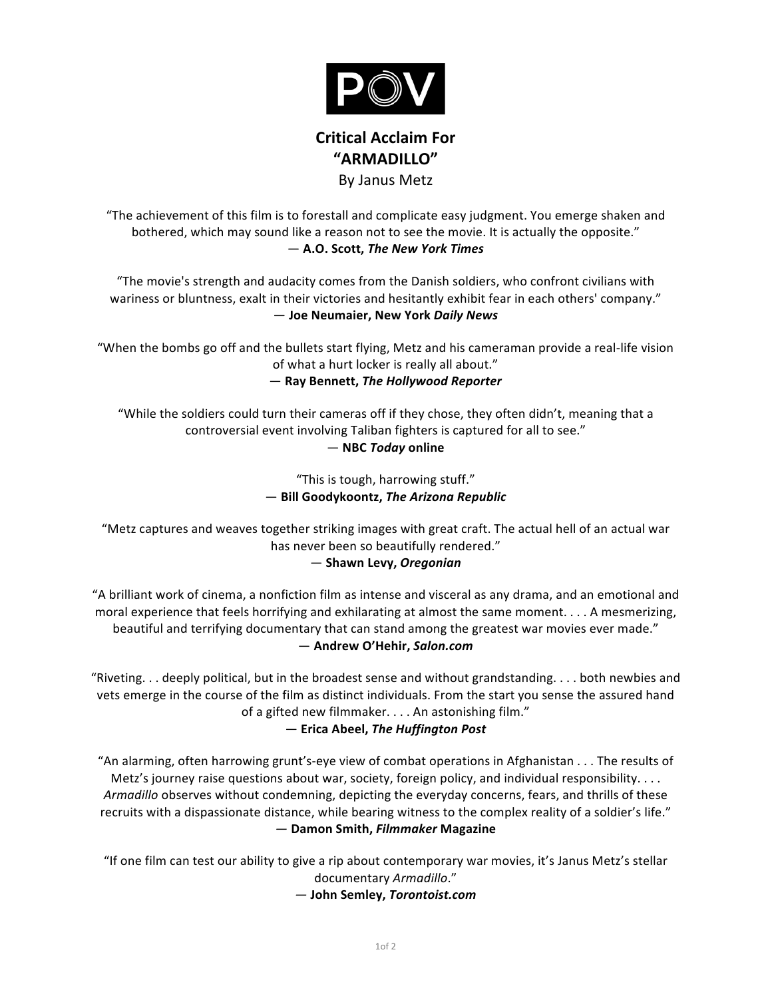

# **Critical Acclaim For "ARMADILLO"** By Janus Metz

"The achievement of this film is to forestall and complicate easy judgment. You emerge shaken and bothered, which may sound like a reason not to see the movie. It is actually the opposite."  $-$  A.O. Scott, *The New York Times* 

"The movie's strength and audacity comes from the Danish soldiers, who confront civilians with wariness or bluntness, exalt in their victories and hesitantly exhibit fear in each others' company." — **Joe(Neumaier,(New(York(***Daily!News*

"When the bombs go off and the bullets start flying, Metz and his cameraman provide a real-life vision of what a hurt locker is really all about."

 $-$  Ray Bennett, The Hollywood Reporter

"While the soldiers could turn their cameras off if they chose, they often didn't, meaning that a controversial event involving Taliban fighters is captured for all to see."

### — **NBC(***Today***(online**

"This is tough, harrowing stuff."  $-$  Bill Goodykoontz, The Arizona Republic

"Metz captures and weaves together striking images with great craft. The actual hell of an actual war has never been so beautifully rendered."

— **Shawn(Levy,(***Oregonian*

"A brilliant work of cinema, a nonfiction film as intense and visceral as any drama, and an emotional and moral experience that feels horrifying and exhilarating at almost the same moment.  $\ldots$  A mesmerizing, beautiful and terrifying documentary that can stand among the greatest war movies ever made."  $-$  Andrew O'Hehir, Salon.com

"Riveting.  $\ldots$  deeply political, but in the broadest sense and without grandstanding.  $\ldots$  both newbies and vets emerge in the course of the film as distinct individuals. From the start you sense the assured hand of a gifted new filmmaker.  $\ldots$  . An astonishing film."

— **Erica(Abeel,(***The!Huffington!Post*

"An alarming, often harrowing grunt's-eye view of combat operations in Afghanistan . . . The results of Metz's journey raise questions about war, society, foreign policy, and individual responsibility.  $\ldots$ Armadillo observes without condemning, depicting the everyday concerns, fears, and thrills of these recruits with a dispassionate distance, while bearing witness to the complex reality of a soldier's life." *—* **Damon(Smith,(***Filmmaker!***Magazine**

"If one film can test our ability to give a rip about contemporary war movies, it's Janus Metz's stellar documentary\$*Armadillo*."

*—* **John(Semley,(***Torontoist.com*